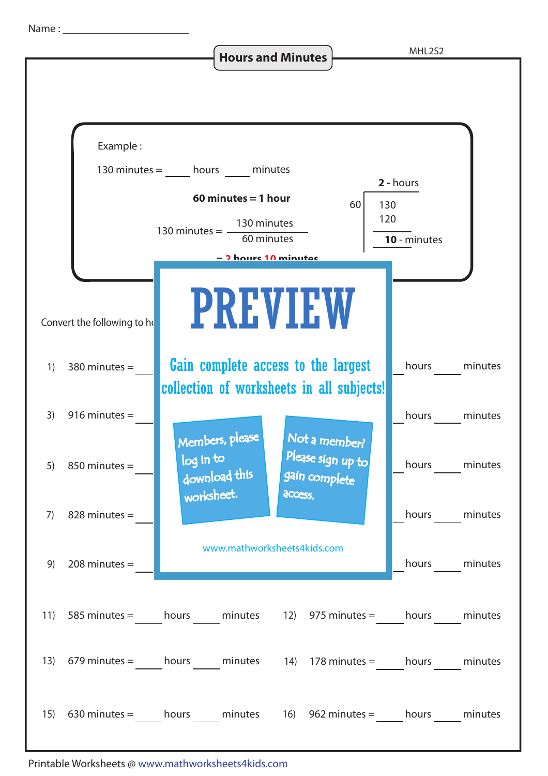